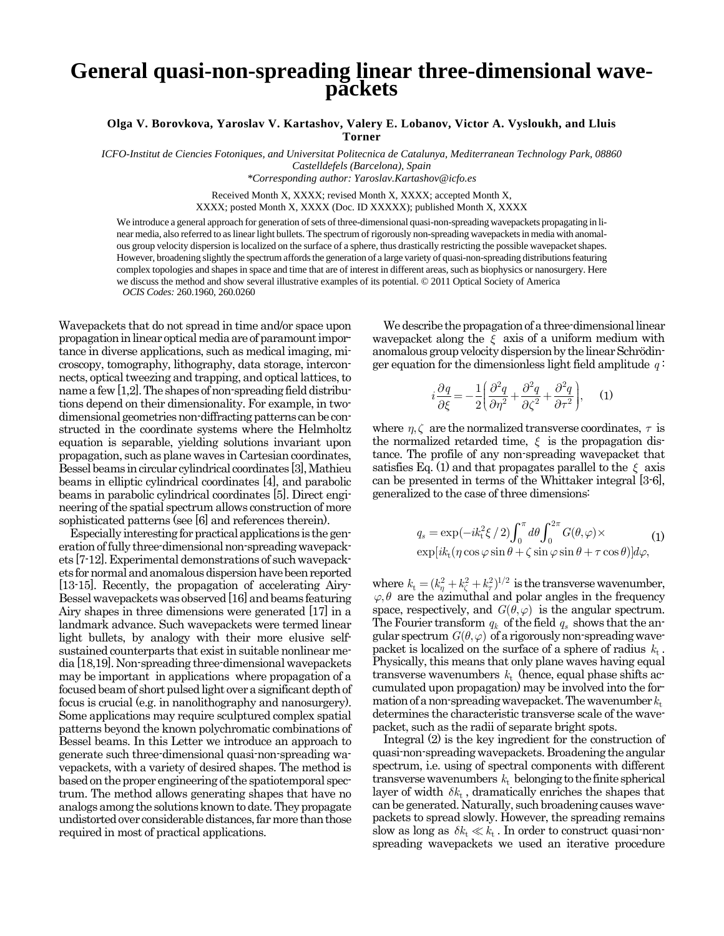## **General quasi-non-spreading linear three-dimensional wavepackets**

**Olga V. Borovkova, Yaroslav V. Kartashov, Valery E. Lobanov, Victor A. Vysloukh, and Lluis Torner**

*ICFO-Institut de Ciencies Fotoniques, and Universitat Politecnica de Catalunya, Mediterranean Technology Park, 08860 Castelldefels (Barcelona), Spain*

*\*Corresponding author: Yaroslav.Kartashov@icfo.es*

Received Month X, XXXX; revised Month X, XXXX; accepted Month X, XXXX; posted Month X, XXXX (Doc. ID XXXXX); published Month X, XXXX

We introduce a general approach for generation of sets of three-dimensional quasi-non-spreading wavepackets propagating in linear media, also referred to as linear light bullets. The spectrum of rigorously non-spreading wavepackets in media with anomalous group velocity dispersion is localized on the surface of a sphere, thus drastically restricting the possible wavepacket shapes. However, broadening slightly the spectrum affords the generation of a large variety of quasi-non-spreading distributions featuring complex topologies and shapes in space and time that are of interest in different areas, such as biophysics or nanosurgery. Here we discuss the method and show several illustrative examples of its potential. © 2011 Optical Society of America *OCIS Codes:* 260.1960, 260.0260

Wavepackets that do not spread in time and/or space upon propagation in linear optical media are of paramount importance in diverse applications, such as medical imaging, microscopy, tomography, lithography, data storage, interconnects, optical tweezing and trapping, and optical lattices, to name a few [1,2]. The shapes of non-spreading field distributions depend on their dimensionality. For example, in twodimensional geometries non-diffracting patterns can be constructed in the coordinate systems where the Helmholtz equation is separable, yielding solutions invariant upon propagation, such as plane waves in Cartesian coordinates, Bessel beams in circular cylindrical coordinates [3], Mathieu beams in elliptic cylindrical coordinates [4], and parabolic beams in parabolic cylindrical coordinates [5]. Direct engineering of the spatial spectrum allows construction of more sophisticated patterns (see [6] and references therein).

Especially interesting for practical applications is the generation of fully three-dimensional non-spreading wavepackets [7-12]. Experimental demonstrations of such wavepackets for normal and anomalous dispersion have been reported [13-15]. Recently, the propagation of accelerating Airy-Bessel wavepackets was observed [16] andbeams featuring Airy shapes in three dimensions were generated [17] in a landmark advance. Such wavepackets were termed linear light bullets, by analogy with their more elusive selfsustained counterparts that exist in suitable nonlinear media [18,19]. Non-spreading three-dimensional wavepackets may be important in applications where propagation of a focused beam of short pulsed light over a significant depthof focus is crucial (e.g. in nanolithography and nanosurgery). Some applications may require sculptured complex spatial patterns beyond the known polychromatic combinations of Bessel beams. In this Letter we introduce an approach to generate such three-dimensional quasi-non-spreading wavepackets, with a variety of desired shapes. The method is based on the proper engineering of the spatiotemporal spectrum. The method allows generating shapes that have no analogs among the solutions known to date. They propagate undistorted over considerable distances, far more than those required in most of practical applications.

We describe the propagation of a three-dimensional linear wavepacket along the  $\xi$  axis of a uniform medium with anomalous group velocity dispersion by the linear Schrödinger equation for the dimensionless light field amplitude  $q$ :

$$
i\frac{\partial q}{\partial \xi} = -\frac{1}{2} \left( \frac{\partial^2 q}{\partial \eta^2} + \frac{\partial^2 q}{\partial \zeta^2} + \frac{\partial^2 q}{\partial \tau^2} \right), \quad (1)
$$

where  $\eta, \zeta$  are the normalized transverse coordinates,  $\tau$  is the normalized retarded time,  $\xi$  is the propagation distance. The profile of any non-spreading wavepacket that satisfies Eq. (1) and that propagates parallel to the  $\xi$  axis can be presented in terms of the Whittaker integral [3-6], generalized to the case of three dimensions:

$$
q_s = \exp(-ik_t^2 \xi / 2) \int_0^{\pi} d\theta \int_0^{2\pi} G(\theta, \varphi) \times \exp[i k_t (\eta \cos \varphi \sin \theta + \zeta \sin \varphi \sin \theta + \tau \cos \theta)] d\varphi,
$$
 (1)

where  $k_t = (k_\eta^2 + k_\zeta^2 + k_\tau^2)^{1/2}$  is the transverse wavenumber,  $\varphi$ ,  $\theta$  are the azimuthal and polar angles in the frequency space, respectively, and  $G(\theta, \varphi)$  is the angular spectrum. The Fourier transform  $q_k$  of the field  $q_s$  shows that the angular spectrum  $G(\theta, \varphi)$  of a rigorously non-spreading wavepacket is localized on the surface of a sphere of radius  $k_t$ . Physically, this means that only plane waves having equal transverse wavenumbers  $k_t$  (hence, equal phase shifts accumulated upon propagation) may be involved into the formation of a non-spreading wavepacket. The wavenumber  $k_t$ determines the characteristic transverse scale of the wavepacket, such as the radii of separate bright spots.

Integral (2) is the key ingredient for the construction of quasi-non-spreading wavepackets. Broadening the angular spectrum, i.e. using of spectral components with different transverse wavenumbers  $k_t$  belonging to the finite spherical layer of width  $\,\delta k_{\rm t}$  , dramatically enriches the shapes that can be generated. Naturally, such broadening causes wavepackets to spread slowly. However, the spreading remains slow as long as  $\delta k_t \ll k_t$ . In order to construct quasi-nonspreading wavepackets we used an iterative procedure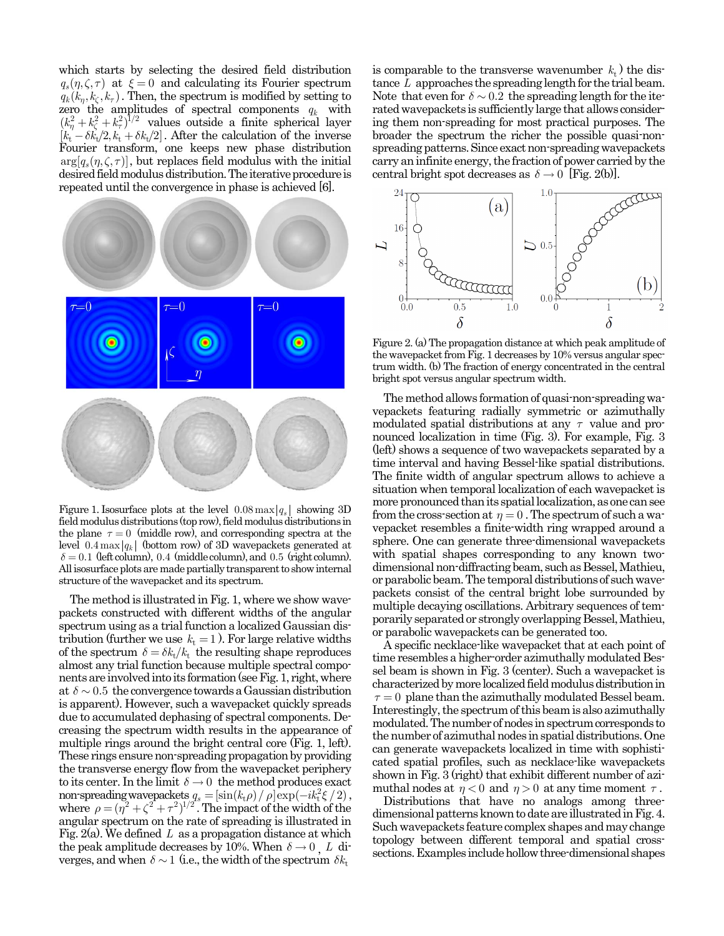which starts by selecting the desired field distribution  $q_s(\eta, \zeta, \tau)$  at  $\xi = 0$  and calculating its Fourier spectrum  $q_k(k_n, k_\zeta, k_\tau)$ . Then, the spectrum is modified by setting to zero the amplitudes of spectral components  $q_k$  with  $(k_{\eta}^2 + k_{\zeta}^2 + k_{\tau}^2)^{1/2}$  values outside a finite spherical layer  $[k_t - \delta k_t/2, k_t + \delta k_t/2]$ . After the calculation of the inverse Fourier transform, one keeps new phase distribution  $arg[q_s(\eta,\zeta,\tau)]$ , but replaces field modulus with the initial desired field modulus distribution. The iterative procedure is repeated until the convergence in phase is achieved [6].



Figure 1. Isosurface plots at the level  $0.08 \max |q_s|$  showing 3D field modulus distributions (top row), field modulus distributions in the plane  $\tau = 0$  (middle row), and corresponding spectra at the level  $0.4 \max |q_k|$  (bottom row) of 3D wavepackets generated at  $\delta = 0.1$  (left column), 0.4 (middle column), and 0.5 (right column). All isosurface plots are made partially transparent to show internal structure of the wavepacket and its spectrum.

The method is illustrated in Fig. 1, where we show wavepackets constructed with different widths of the angular spectrum using as a trial function a localized Gaussian distribution (further we use  $k_t = 1$ ). For large relative widths of the spectrum  $\delta = \delta k_t / k_t$  the resulting shape reproduces almost any trial function because multiple spectral components are involved into its formation (see Fig. 1, right, where at  $\delta \sim 0.5$  the convergence towards a Gaussian distribution is apparent). However, such a wavepacket quickly spreads due to accumulated dephasing of spectral components. Decreasing the spectrum width results in the appearance of multiple rings around the bright central core (Fig. 1, left). These rings ensure non-spreading propagation by providing the transverse energy flow from the wavepacket periphery to its center. In the limit  $\delta \to 0$  the method produces exact non-spreading wavepackets  $q_s = [\sin(k_t \rho) / \rho] \exp(-i k_t^2 \xi / 2)$ , where  $\rho = (\eta^2 + \zeta^2 + \tau^2)^{1/2}$ . The impact of the width of the angular spectrum on the rate of spreading is illustrated in Fig. 2(a). We defined *L* as a propagation distance at which the peak amplitude decreases by 10%. When  $\delta \rightarrow 0$  , *L* diverges, and when  $\delta \sim 1$  (i.e., the width of the spectrum  $\delta k_t$ 

is comparable to the transverse wavenumber  $k_t$ ) the distance *L* approaches the spreading length for the trial beam. Note that even for  $\delta \sim 0.2$  the spreading length for the iterated wavepackets is sufficiently large that allows considering them non-spreading for most practical purposes. The broader the spectrum the richer the possible quasi-nonspreading patterns. Since exact non-spreading wavepackets carry an infinite energy, the fraction of power carried by the central bright spot decreases as  $\delta \to 0$  [Fig. 2(b)].



Figure 2. (a) The propagation distance at which peak amplitude of the wavepacket from Fig. 1 decreases by 10% versus angular spectrum width. (b) The fraction of energy concentrated in the central bright spot versus angular spectrum width.

The method allows formation of quasi-non-spreading wavepackets featuring radially symmetric or azimuthally modulated spatial distributions at any  $\tau$  value and pronounced localization in time (Fig. 3). For example, Fig. 3 (left) shows a sequence of two wavepackets separated by a time interval and having Bessel-like spatial distributions. The finite width of angular spectrum allows to achieve a situation when temporal localization of each wavepacket is more pronounced than its spatial localization, as one can see from the cross-section at  $\eta = 0$ . The spectrum of such a wavepacket resembles a finite-width ring wrapped around a sphere. One can generate three-dimensional wavepackets with spatial shapes corresponding to any known twodimensional non-diffracting beam, such as Bessel,Mathieu, or parabolic beam. The temporal distributions of such wavepackets consist of the central bright lobe surrounded by multiple decaying oscillations. Arbitrary sequences of temporarily separated or strongly overlapping Bessel, Mathieu, or parabolic wavepackets can be generated too.

A specific necklace-like wavepacket that at each point of time resembles a higher-order azimuthally modulated Bessel beam is shown in Fig. 3 (center). Such a wavepacket is characterized by more localized field modulus distribution in  $\tau = 0$  plane than the azimuthally modulated Bessel beam. Interestingly, the spectrum of this beam is also azimuthally modulated. The number of nodes in spectrum corresponds to the number of azimuthal nodes in spatial distributions. One can generate wavepackets localized in time with sophisticated spatial profiles, such as necklace-like wavepackets shown in Fig. 3 (right) that exhibit different number of azimuthal nodes at  $\eta < 0$  and  $\eta > 0$  at any time moment  $\tau$ .

Distributions that have no analogs among threedimensional patterns known to date are illustrated in Fig. 4. Such wavepackets feature complex shapes and may change topology between different temporal and spatial crosssections. Examples include hollow three-dimensional shapes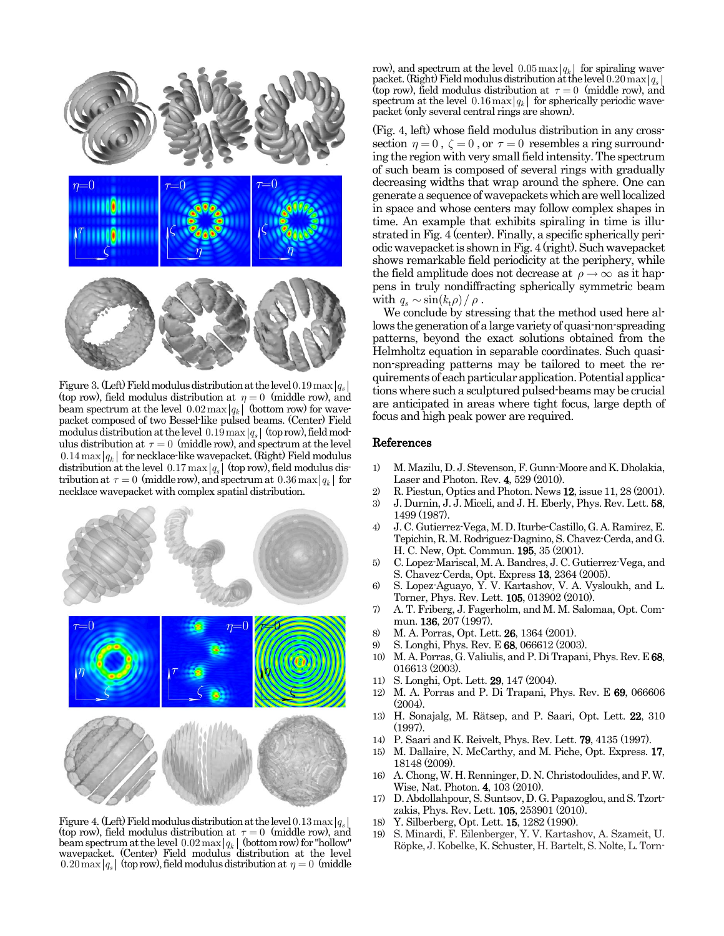

Figure 3. (Left) Field modulus distribution at the level  $0.19 \max |q_s|$ (top row), field modulus distribution at  $\eta = 0$  (middle row), and beam spectrum at the level  $0.02 \max |q_k|$  (bottom row) for wavepacket composed of two Bessel-like pulsed beams. (Center) Field modulus distribution at the level  $0.19 \max |q_s|$  (top row), field modulus distribution at  $\tau = 0$  (middle row), and spectrum at the level  $0.14 \max |q_k|$  for necklace-like wavepacket. (Right) Field modulus distribution at the level  $0.17 \max |q_s|$  (top row), field modulus distribution at  $\tau = 0$  (middle row), and spectrum at  $0.36 \max |q_k|$  for necklace wavepacket with complex spatial distribution.



Figure 4. (Left) Field modulus distribution at the level  $0.13 \max |q_s|$ (top row), field modulus distribution at  $\tau = 0$  (middle row), and beam spectrum at the level  $0.02 \max |q_k|$  (bottom row) for "hollow" wavepacket. (Center) Field modulus distribution at the level  $0.20 \text{ max}$   $|q_s|$  (top row), field modulus distribution at  $\eta = 0$  (middle

row), and spectrum at the level  $0.05 \max |q_k|$  for spiraling wavepacket. (Right) Field modulus distribution at the level  $0.20 \max |q_s|$ (top row), field modulus distribution at  $\tau = 0$  (middle row), and spectrum at the level  $0.16 \max |q_k|$  for spherically periodic wavepacket (only several central rings are shown).

(Fig. 4, left) whose field modulus distribution in any crosssection  $\eta = 0$ ,  $\zeta = 0$ , or  $\tau = 0$  resembles a ring surrounding the region with very small field intensity. The spectrum of such beam is composed of several rings with gradually decreasing widths that wrap around the sphere. One can generate a sequence of wavepackets which are well localized in space and whose centers may follow complex shapes in time. An example that exhibits spiraling in time is illustrated in Fig. 4 (center). Finally, a specific spherically periodic wavepacket is shown in Fig. 4 (right). Such wavepacket shows remarkable field periodicity at the periphery, while the field amplitude does not decrease at  $\rho \rightarrow \infty$  as it happens in truly nondiffracting spherically symmetric beam with  $q_s \sim \sin(k_t \rho) / \rho$ .

We conclude by stressing that the method used here allows the generation of a large variety of quasi-non-spreading patterns, beyond the exact solutions obtained from the Helmholtz equation in separable coordinates. Such quasinon-spreading patterns may be tailored to meet the requirements of each particular application. Potential applications where such a sculptured pulsed-beams may be crucial are anticipated in areas where tight focus, large depth of focus and high peak power are required.

## References

- 1) M. Mazilu, D. J. Stevenson, F. Gunn-Moore and K. Dholakia, Laser and Photon. Rev. 4, 529 (2010).
- 2) R. Piestun, Optics and Photon. News 12, issue 11, 28 (2001).
- 3) J. Durnin, J. J. Miceli, and J. H. Eberly, Phys. Rev. Lett. 58, 1499 (1987).
- 4) J. C. Gutierrez-Vega, M. D. Iturbe-Castillo, G. A. Ramirez, E. Tepichin, R. M. Rodriguez-Dagnino, S. Chavez-Cerda, and G. H. C. New, Opt. Commun. 195, 35 (2001).
- 5) C. Lopez-Mariscal, M. A. Bandres, J. C. Gutierrez-Vega, and S. Chavez-Cerda, Opt. Express 13, 2364 (2005).
- 6) S. Lopez-Aguayo, Y. V. Kartashov, V. A. Vysloukh, and L. Torner, Phys. Rev. Lett. 105, 013902 (2010).
- 7) A. T. Friberg, J. Fagerholm, and M. M. Salomaa, Opt. Commun. 136, 207 (1997).
- 8) M. A. Porras, Opt. Lett. 26, 1364 (2001).
- 9) S. Longhi, Phys. Rev. E 68, 066612 (2003).
- 10) M. A. Porras, G. Valiulis, and P. Di Trapani, Phys. Rev. E 68, 016613 (2003).
- 11) S. Longhi, Opt. Lett. 29, 147 (2004).
- 12) M. A. Porras and P. Di Trapani, Phys. Rev. E 69, 066606 (2004).
- 13) H. Sonajalg, M. Rätsep, and P. Saari, Opt. Lett. 22, 310 (1997).
- 14) P. Saari and K. Reivelt, Phys. Rev. Lett. 79, 4135 (1997).
- 15) M. Dallaire, N. McCarthy, and M. Piche, Opt. Express. 17, 18148 (2009).
- 16) A. Chong, W. H. Renninger, D. N. Christodoulides, and F. W. Wise, Nat. Photon. 4, 103 (2010).
- 17) D. Abdollahpour, S. Suntsov, D. G. Papazoglou, and S. Tzortzakis, Phys. Rev. Lett. 105, 253901 (2010).
- 18) Y. Silberberg, Opt. Lett. 15, 1282 (1990).
- 19) S. Minardi, F. Eilenberger, Y. V. Kartashov, A. Szameit, U. Röpke, J. Kobelke, K. Schuster, H. Bartelt, S. Nolte, L. Torn-